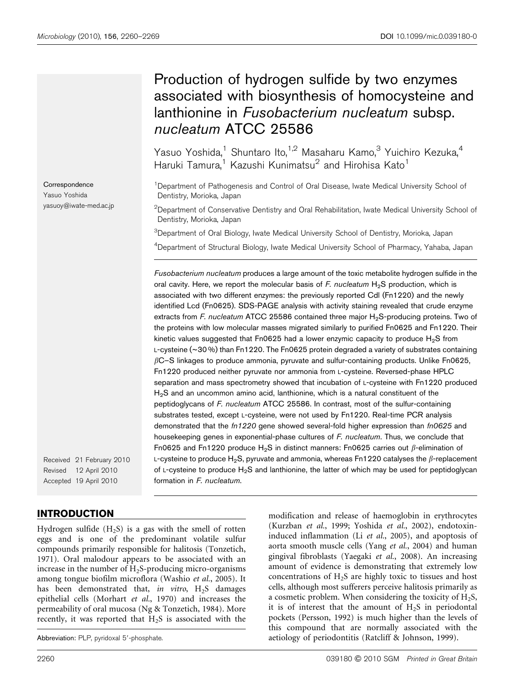**Correspondence** Yasuo Yoshida yasuoy@iwate-med.ac.jp

# Production of hydrogen sulfide by two enzymes associated with biosynthesis of homocysteine and lanthionine in Fusobacterium nucleatum subsp. nucleatum ATCC 25586

Yasuo Yoshida,<sup>1</sup> Shuntaro Ito,<sup>1,2</sup> Masaharu Kamo,<sup>3</sup> Yuichiro Kezuka,<sup>4</sup> Haruki Tamura,<sup>1</sup> Kazushi Kunimatsu<sup>2</sup> and Hirohisa Kato<sup>1</sup>

<sup>1</sup>Department of Pathogenesis and Control of Oral Disease, Iwate Medical University School of Dentistry, Morioka, Japan

 $^{2}$ Department of Conservative Dentistry and Oral Rehabilitation, Iwate Medical University School of Dentistry, Morioka, Japan

<sup>3</sup>Department of Oral Biology, Iwate Medical University School of Dentistry, Morioka, Japan

<sup>4</sup>Department of Structural Biology, Iwate Medical University School of Pharmacy, Yahaba, Japan

Fusobacterium nucleatum produces a large amount of the toxic metabolite hydrogen sulfide in the oral cavity. Here, we report the molecular basis of F. nucleatum  $H_2S$  production, which is associated with two different enzymes: the previously reported Cdl (Fn1220) and the newly identified Lcd (Fn0625). SDS-PAGE analysis with activity staining revealed that crude enzyme extracts from F. nucleatum ATCC 25586 contained three major  $H<sub>2</sub>S$ -producing proteins. Two of the proteins with low molecular masses migrated similarly to purified Fn0625 and Fn1220. Their kinetic values suggested that Fn0625 had a lower enzymic capacity to produce  $H_2S$  from L-cysteine (~30 %) than Fn1220. The Fn0625 protein degraded a variety of substrates containing  $\beta$ C–S linkages to produce ammonia, pyruvate and sulfur-containing products. Unlike Fn0625, Fn1220 produced neither pyruvate nor ammonia from L-cysteine. Reversed-phase HPLC separation and mass spectrometry showed that incubation of L-cysteine with Fn1220 produced  $H<sub>2</sub>S$  and an uncommon amino acid, lanthionine, which is a natural constituent of the peptidoglycans of F. nucleatum ATCC 25586. In contrast, most of the sulfur-containing substrates tested, except L-cysteine, were not used by Fn1220. Real-time PCR analysis demonstrated that the fn1220 gene showed several-fold higher expression than fn0625 and housekeeping genes in exponential-phase cultures of F. nucleatum. Thus, we conclude that Fn0625 and Fn1220 produce H<sub>2</sub>S in distinct manners: Fn0625 carries out  $\beta$ -elimination of L-cysteine to produce H<sub>2</sub>S, pyruvate and ammonia, whereas Fn1220 catalyses the  $\beta$ -replacement of L-cysteine to produce  $H_2S$  and lanthionine, the latter of which may be used for peptidoglycan formation in F. nucleatum.

Received 21 February 2010 Revised 12 April 2010 Accepted 19 April 2010

# INTRODUCTION

Hydrogen sulfide  $(H_2S)$  is a gas with the smell of rotten eggs and is one of the predominant volatile sulfur compounds primarily responsible for halitosis (Tonzetich, 1971). Oral malodour appears to be associated with an increase in the number of  $H_2$ S-producing micro-organisms among tongue biofilm microflora (Washio et al., 2005). It has been demonstrated that, in vitro,  $H_2S$  damages epithelial cells (Morhart et al., 1970) and increases the permeability of oral mucosa (Ng & Tonzetich, 1984). More recently, it was reported that  $H_2S$  is associated with the

modification and release of haemoglobin in erythrocytes (Kurzban et al., 1999; Yoshida et al., 2002), endotoxininduced inflammation (Li et al., 2005), and apoptosis of aorta smooth muscle cells (Yang et al., 2004) and human gingival fibroblasts (Yaegaki et al., 2008). An increasing amount of evidence is demonstrating that extremely low concentrations of  $H_2S$  are highly toxic to tissues and host cells, although most sufferers perceive halitosis primarily as a cosmetic problem. When considering the toxicity of  $H_2S$ , it is of interest that the amount of  $H<sub>2</sub>S$  in periodontal pockets (Persson, 1992) is much higher than the levels of this compound that are normally associated with the Abbreviation: PLP, pyridoxal 5'-phosphate. and actiology of periodontitis (Ratcliff & Johnson, 1999).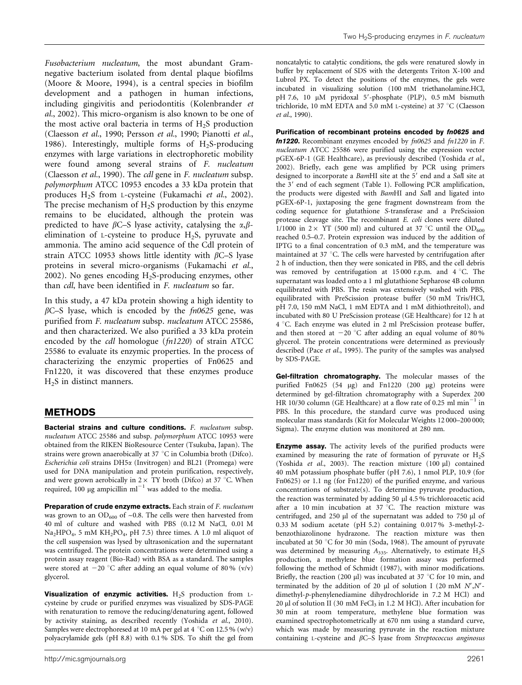Fusobacterium nucleatum, the most abundant Gramnegative bacterium isolated from dental plaque biofilms (Moore & Moore, 1994), is a central species in biofilm development and a pathogen in human infections, including gingivitis and periodontitis (Kolenbrander et al., 2002). This micro-organism is also known to be one of the most active oral bacteria in terms of  $H<sub>2</sub>S$  production (Claesson et al., 1990; Persson et al., 1990; Pianotti et al., 1986). Interestingly, multiple forms of  $H_2S$ -producing enzymes with large variations in electrophoretic mobility were found among several strains of F. nucleatum (Claesson et al., 1990). The cdl gene in F. nucleatum subsp. polymorphum ATCC 10953 encodes a 33 kDa protein that produces H2S from L-cysteine (Fukamachi et al., 2002). The precise mechanism of  $H<sub>2</sub>S$  production by this enzyme remains to be elucidated, although the protein was predicted to have  $\beta$ C–S lyase activity, catalysing the  $\alpha$ , $\beta$ elimination of L-cysteine to produce  $H_2S$ , pyruvate and ammonia. The amino acid sequence of the Cdl protein of strain ATCC 10953 shows little identity with  $\beta$ C–S lyase proteins in several micro-organisms (Fukamachi et al., 2002). No genes encoding  $H_2S$ -producing enzymes, other than cdl, have been identified in F. nucleatum so far.

In this study, a 47 kDa protein showing a high identity to  $\beta$ C–S lyase, which is encoded by the  $fn0625$  gene, was purified from F. nucleatum subsp. nucleatum ATCC 25586, and then characterized. We also purified a 33 kDa protein encoded by the cdl homologue (fn1220) of strain ATCC 25586 to evaluate its enzymic properties. In the process of characterizing the enzymic properties of Fn0625 and Fn1220, it was discovered that these enzymes produce  $H<sub>2</sub>S$  in distinct manners.

# METHODS

Bacterial strains and culture conditions. F. nucleatum subsp. nucleatum ATCC 25586 and subsp. polymorphum ATCC 10953 were obtained from the RIKEN BioResource Center (Tsukuba, Japan). The strains were grown anaerobically at  $37^{\circ}$ C in Columbia broth (Difco). Escherichia coli strains DH5a (Invitrogen) and BL21 (Promega) were used for DNA manipulation and protein purification, respectively, and were grown aerobically in  $2 \times$  TY broth (Difco) at 37 °C. When required, 100  $\mu$ g ampicillin ml<sup>-1</sup> was added to the media.

Preparation of crude enzyme extracts. Each strain of F. nucleatum was grown to an  $OD_{600}$  of ~0.8. The cells were then harvested from 40 ml of culture and washed with PBS (0.12 M NaCl, 0.01 M Na<sub>2</sub>HPO<sub>4</sub>, 5 mM KH<sub>2</sub>PO<sub>4</sub>, pH 7.5) three times. A 1.0 ml aliquot of the cell suspension was lysed by ultrasonication and the supernatant was centrifuged. The protein concentrations were determined using a protein assay reagent (Bio-Rad) with BSA as a standard. The samples were stored at  $-20$  °C after adding an equal volume of 80 % (v/v) glycerol.

Visualization of enzymic activities.  $H_2S$  production from Lcysteine by crude or purified enzymes was visualized by SDS-PAGE with renaturation to remove the reducing/denaturing agent, followed by activity staining, as described recently (Yoshida et al., 2010). Samples were electrophoresed at 10 mA per gel at 4  $^{\circ}$ C on 12.5 % (w/v) polyacrylamide gels (pH 8.8) with 0.1 % SDS. To shift the gel from noncatalytic to catalytic conditions, the gels were renatured slowly in buffer by replacement of SDS with the detergents Triton X-100 and Lubrol PX. To detect the positions of the enzymes, the gels were incubated in visualizing solution (100 mM triethanolamine.HCl, pH 7.6, 10 µM pyridoxal 5'-phosphate (PLP), 0.5 mM bismuth trichloride, 10 mM EDTA and 5.0 mM L-cysteine) at 37 °C (Claesson et al., 1990).

Purification of recombinant proteins encoded by fn0625 and fn1220. Recombinant enzymes encoded by fn0625 and fn1220 in F. nucleatum ATCC 25586 were purified using the expression vector pGEX-6P-1 (GE Healthcare), as previously described (Yoshida et al., 2002). Briefly, each gene was amplified by PCR using primers designed to incorporate a BamHI site at the 5' end and a SalI site at the 3' end of each segment (Table 1). Following PCR amplification, the products were digested with BamHI and SalI and ligated into pGEX-6P-1, juxtaposing the gene fragment downstream from the coding sequence for glutathione S-transferase and a PreScission protease cleavage site. The recombinant E. coli clones were diluted 1/1000 in  $2 \times$  YT (500 ml) and cultured at 37 °C until the OD<sub>600</sub> reached 0.5–0.7. Protein expression was induced by the addition of IPTG to a final concentration of 0.3 mM, and the temperature was maintained at 37  $^{\circ}$ C. The cells were harvested by centrifugation after 2 h of induction, then they were sonicated in PBS, and the cell debris was removed by centrifugation at  $15000$  r.p.m. and  $4^{\circ}$ C. The supernatant was loaded onto a 1 ml glutathione Sepharose 4B column equilibrated with PBS. The resin was extensively washed with PBS, equilibrated with PreScission protease buffer (50 mM Tris/HCl, pH 7.0, 150 mM NaCl, 1 mM EDTA and 1 mM dithiothreitol), and incubated with 80 U PreScission protease (GE Healthcare) for 12 h at 4 °C. Each enzyme was eluted in 2 ml PreScission protease buffer, and then stored at  $-20$  °C after adding an equal volume of 80% glycerol. The protein concentrations were determined as previously described (Pace et al., 1995). The purity of the samples was analysed by SDS-PAGE.

Gel-filtration chromatography. The molecular masses of the purified Fn0625 (54 µg) and Fn1220 (200 µg) proteins were determined by gel-filtration chromatography with a Superdex 200 HR 10/30 column (GE Healthcare) at a flow rate of 0.25 ml  $min^{-1}$  in PBS. In this procedure, the standard curve was produced using molecular mass standards (Kit for Molecular Weights 12 000–200 000; Sigma). The enzyme elution was monitored at 280 nm.

**Enzyme assay.** The activity levels of the purified products were examined by measuring the rate of formation of pyruvate or  $H_2S$ (Yoshida et al., 2003). The reaction mixture (100 µl) contained 40 mM potassium phosphate buffer (pH 7.6), 1 nmol PLP, 10.9 (for Fn0625) or 1.1 ng (for Fn1220) of the purified enzyme, and various concentrations of substrate(s). To determine pyruvate production, the reaction was terminated by adding 50 µl 4.5 % trichloroacetic acid after a 10 min incubation at 37 °C. The reaction mixture was centrifuged, and 250 µl of the supernatant was added to 750 µl of 0.33 M sodium acetate (pH 5.2) containing 0.017 % 3-methyl-2 benzothiazolinone hydrazone. The reaction mixture was then incubated at 50  $^{\circ}$ C for 30 min (Soda, 1968). The amount of pyruvate was determined by measuring  $A_{335}$ . Alternatively, to estimate  $H_2S$ production, a methylene blue formation assay was performed following the method of Schmidt (1987), with minor modifications. Briefly, the reaction (200  $\mu$ ) was incubated at 37 °C for 10 min, and terminated by the addition of 20  $\mu$ l of solution I (20 mM N',N'dimethyl-p-phenylenediamine dihydrochloride in 7.2 M HCl) and 20  $\mu$ l of solution II (30 mM FeCl<sub>3</sub> in 1.2 M HCl). After incubation for 30 min at room temperature, methylene blue formation was examined spectrophotometrically at 670 nm using a standard curve, which was made by measuring pyruvate in the reaction mixture containing L-cysteine and  $\beta$ C–S lyase from Streptococcus anginosus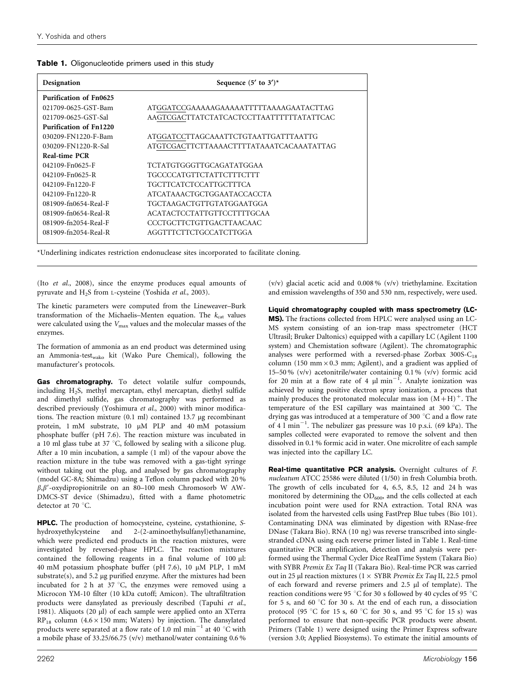| Designation                   | Sequence $(5'$ to $3')^*$                |  |  |  |  |
|-------------------------------|------------------------------------------|--|--|--|--|
| <b>Purification of Fn0625</b> |                                          |  |  |  |  |
| 021709-0625-GST-Bam           | ATGGATCCGAAAAAGAAAAATTTTTAAAAGAATACTTAG  |  |  |  |  |
| 021709-0625-GST-Sal           | AAGTCGACTTATCTATCACTCCTTAATTTTTTATATTCAC |  |  |  |  |
| Purification of Fn1220        |                                          |  |  |  |  |
| 030209-FN1220-F-Bam           | ATGGATCCTTAGCAAATTCTGTAATTGATTTAATTG     |  |  |  |  |
| 030209-FN1220-R-Sal           | ATGTCGACTTCTTAAAACTTTTATAAATCACAAATATTAG |  |  |  |  |
| Real-time PCR                 |                                          |  |  |  |  |
| 042109-Fn0625-F               | TCTATGTGGGTTGCAGATATGGAA                 |  |  |  |  |
| 042109-Fn0625-R               | TGCCCCATGTTCTATTCTTTCTTT                 |  |  |  |  |
| 042109-Fn1220-F               | <b>TGCTTCATCTCCATTGCTTTCA</b>            |  |  |  |  |
| 042109-Fn1220-R               | ATCATAAACTGCTGGAATACCACCTA               |  |  |  |  |
| 081909-fn0654-Real-F          | TGCTAAGACTGTTGTATGGAATGGA                |  |  |  |  |
| 081909-fn0654-Real-R          | <b>ACATACTCCTATTGTTCCTTTTGCAA</b>        |  |  |  |  |
| 081909-fn2054-Real-F          | CCCTGCTTCTGTTGACTTAACAAC                 |  |  |  |  |
| 081909-fn2054-Real-R          | AGGTTTCTTCTGCCATCTTGGA                   |  |  |  |  |

\*Underlining indicates restriction endonuclease sites incorporated to facilitate cloning.

(Ito et al., 2008), since the enzyme produces equal amounts of pyruvate and H<sub>2</sub>S from L-cysteine (Yoshida et al., 2003).

The kinetic parameters were computed from the Lineweaver–Burk transformation of the Michaelis-Menten equation. The  $k_{\text{cat}}$  values were calculated using the  $V_{\text{max}}$  values and the molecular masses of the enzymes.

The formation of ammonia as an end product was determined using an Ammonia-testwako kit (Wako Pure Chemical), following the manufacturer's protocols.

Gas chromatography. To detect volatile sulfur compounds, including H2S, methyl mercaptan, ethyl mercaptan, diethyl sulfide and dimethyl sulfide, gas chromatography was performed as described previously (Yoshimura et al., 2000) with minor modifications. The reaction mixture  $(0.1 \text{ ml})$  contained 13.7 µg recombinant protein, 1 mM substrate, 10 µM PLP and 40 mM potassium phosphate buffer (pH 7.6). The reaction mixture was incubated in a 10 ml glass tube at 37  $\degree$ C, followed by sealing with a silicone plug. After a 10 min incubation, a sample (1 ml) of the vapour above the reaction mixture in the tube was removed with a gas-tight syringe without taking out the plug, and analysed by gas chromatography (model GC-8A; Shimadzu) using a Teflon column packed with 20 %  $\beta$ , $\beta'$ -oxydipropionitrile on an 80–100 mesh Chromosorb W AW-DMCS-ST device (Shimadzu), fitted with a flame photometric detector at 70 °C.

HPLC. The production of homocysteine, cysteine, cystathionine, Shydroxyethylcysteine and 2-(2-aminoethylsulfanyl)ethanamine, which were predicted end products in the reaction mixtures, were investigated by reversed-phase HPLC. The reaction mixtures contained the following reagents in a final volume of  $100 \mu l$ : 40 mM potassium phosphate buffer (pH 7.6), 10 mM PLP, 1 mM  $substrate(s)$ , and 5.2 µg purified enzyme. After the mixtures had been incubated for 2 h at 37  $\degree$ C, the enzymes were removed using a Microcon YM-10 filter (10 kDa cutoff; Amicon). The ultrafiltration products were dansylated as previously described (Tapuhi et al., 1981). Aliquots (20 µl) of each sample were applied onto an XTerra  $RP_{18}$  column (4.6 × 150 mm; Waters) by injection. The dansylated products were separated at a flow rate of 1.0 ml  $\text{min}^{-1}$  at 40 °C with a mobile phase of 33.25/66.75 (v/v) methanol/water containing 0.6 %

(v/v) glacial acetic acid and 0.008 % (v/v) triethylamine. Excitation and emission wavelengths of 350 and 530 nm, respectively, were used.

Liquid chromatography coupled with mass spectrometry (LC-

MS). The fractions collected from HPLC were analysed using an LC-MS system consisting of an ion-trap mass spectrometer (HCT Ultrasil; Bruker Daltonics) equipped with a capillary LC (Agilent 1100 system) and Chemistation software (Agilent). The chromatographic analyses were performed with a reversed-phase Zorbax  $300S-C_{18}$ column (150 mm $\times$  0.3 mm; Agilent), and a gradient was applied of 15–50 % (v/v) acetonitrile/water containing 0.1 % (v/v) formic acid for 20 min at a flow rate of 4  $\mu$ l min<sup>-1</sup>. Analyte ionization was achieved by using positive electron spray ionization, a process that mainly produces the protonated molecular mass ion  $(M+H)^+$ . The temperature of the ESI capillary was maintained at 300 °C. The drying gas was introduced at a temperature of 300 °C and a flow rate of 4  $\mathrm{I}$  min<sup>-1</sup>. The nebulizer gas pressure was 10 p.s.i. (69 kPa). The samples collected were evaporated to remove the solvent and then dissolved in 0.1 % formic acid in water. One microlitre of each sample was injected into the capillary LC.

Real-time quantitative PCR analysis. Overnight cultures of F. nucleatum ATCC 25586 were diluted (1/50) in fresh Columbia broth. The growth of cells incubated for 4, 6.5, 8.5, 12 and 24 h was monitored by determining the  $OD_{600}$ , and the cells collected at each incubation point were used for RNA extraction. Total RNA was isolated from the harvested cells using FastPrep Blue tubes (Bio 101). Contaminating DNA was eliminated by digestion with RNase-free DNase (Takara Bio). RNA (10 ng) was reverse transcribed into singlestranded cDNA using each reverse primer listed in Table 1. Real-time quantitative PCR amplification, detection and analysis were performed using the Thermal Cycler Dice RealTime System (Takara Bio) with SYBR Premix Ex Taq II (Takara Bio). Real-time PCR was carried out in 25 µl reaction mixtures ( $1 \times$  SYBR Premix Ex Taq II, 22.5 pmol of each forward and reverse primers and 2.5 µl of template). The reaction conditions were 95 °C for 30 s followed by 40 cycles of 95 °C for 5 s, and 60  $\degree$ C for 30 s. At the end of each run, a dissociation protocol (95 °C for 15 s, 60 °C for 30 s, and 95 °C for 15 s) was performed to ensure that non-specific PCR products were absent. Primers (Table 1) were designed using the Primer Express software (version 3.0; Applied Biosystems). To estimate the initial amounts of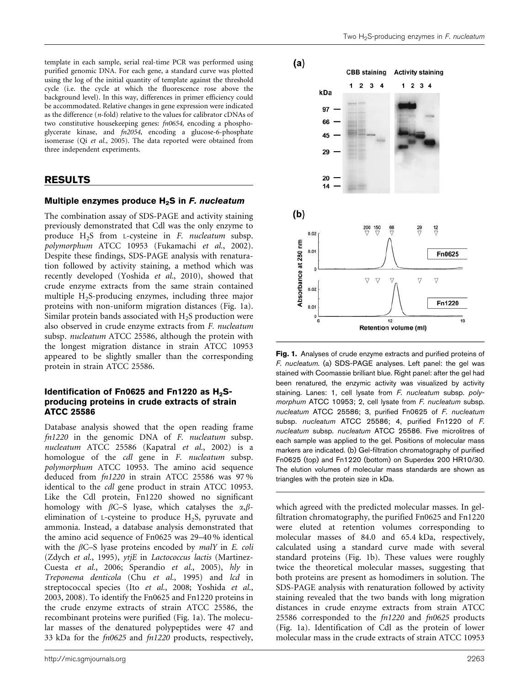template in each sample, serial real-time PCR was performed using purified genomic DNA. For each gene, a standard curve was plotted using the log of the initial quantity of template against the threshold cycle (i.e. the cycle at which the fluorescence rose above the background level). In this way, differences in primer efficiency could be accommodated. Relative changes in gene expression were indicated as the difference (n-fold) relative to the values for calibrator cDNAs of two constitutive housekeeping genes: fn0654, encoding a phosphoglycerate kinase, and fn2054, encoding a glucose-6-phosphate isomerase (Qi et al., 2005). The data reported were obtained from three independent experiments.

### RESULTS

#### Multiple enzymes produce  $H_2S$  in F. nucleatum

The combination assay of SDS-PAGE and activity staining previously demonstrated that Cdl was the only enzyme to produce H2S from L-cysteine in F. nucleatum subsp. polymorphum ATCC 10953 (Fukamachi et al., 2002). Despite these findings, SDS-PAGE analysis with renaturation followed by activity staining, a method which was recently developed (Yoshida et al., 2010), showed that crude enzyme extracts from the same strain contained multiple  $H<sub>2</sub>S$ -producing enzymes, including three majorproteins with non-uniform migration distances (Fig. 1a). Similar protein bands associated with  $H_2S$  production were also observed in crude enzyme extracts from F. nucleatum subsp. nucleatum ATCC 25586, although the protein with the longest migration distance in strain ATCC 10953 appeared to be slightly smaller than the corresponding protein in strain ATCC 25586.

#### Identification of Fn0625 and Fn1220 as  $H_2S$ producing proteins in crude extracts of strain ATCC 25586

Database analysis showed that the open reading frame fn1220 in the genomic DNA of F. nucleatum subsp. nucleatum ATCC 25586 (Kapatral et al., 2002) is a homologue of the cdl gene in F. nucleatum subsp. polymorphum ATCC 10953. The amino acid sequence deduced from fn1220 in strain ATCC 25586 was 97 % identical to the cdl gene product in strain ATCC 10953. Like the Cdl protein, Fn1220 showed no significant homology with  $\beta$ C–S lyase, which catalyses the  $\alpha$ , $\beta$ elimination of L-cysteine to produce H2S, pyruvate and ammonia. Instead, a database analysis demonstrated that the amino acid sequence of Fn0625 was 29–40 % identical with the  $\beta$ C–S lyase proteins encoded by *malY* in *E. coli* (Zdych et al., 1995), ytjE in Lactococcus lactis (Martinez-Cuesta et al., 2006; Sperandio et al., 2005), hly in Treponema denticola (Chu et al., 1995) and lcd in streptococcal species (Ito et al., 2008; Yoshida et al., 2003, 2008). To identify the Fn0625 and Fn1220 proteins in the crude enzyme extracts of strain ATCC 25586, the recombinant proteins were purified (Fig. 1a). The molecular masses of the denatured polypeptides were 47 and 33 kDa for the fn0625 and fn1220 products, respectively,



Fig. 1. Analyses of crude enzyme extracts and purified proteins of F. nucleatum. (a) SDS-PAGE analyses. Left panel: the gel was stained with Coomassie brilliant blue. Right panel: after the gel had been renatured, the enzymic activity was visualized by activity staining. Lanes: 1, cell lysate from F. nucleatum subsp. polymorphum ATCC 10953; 2, cell lysate from F. nucleatum subsp. nucleatum ATCC 25586; 3, purified Fn0625 of F. nucleatum subsp. nucleatum ATCC 25586; 4, purified Fn1220 of F. nucleatum subsp. nucleatum ATCC 25586. Five microlitres of each sample was applied to the gel. Positions of molecular mass markers are indicated. (b) Gel-filtration chromatography of purified Fn0625 (top) and Fn1220 (bottom) on Superdex 200 HR10/30. The elution volumes of molecular mass standards are shown as triangles with the protein size in kDa.

which agreed with the predicted molecular masses. In gelfiltration chromatography, the purified Fn0625 and Fn1220 were eluted at retention volumes corresponding to molecular masses of 84.0 and 65.4 kDa, respectively, calculated using a standard curve made with several standard proteins (Fig. 1b). These values were roughly twice the theoretical molecular masses, suggesting that both proteins are present as homodimers in solution. The SDS-PAGE analysis with renaturation followed by activity staining revealed that the two bands with long migration distances in crude enzyme extracts from strain ATCC 25586 corresponded to the fn1220 and fn0625 products (Fig. 1a). Identification of Cdl as the protein of lower molecular mass in the crude extracts of strain ATCC 10953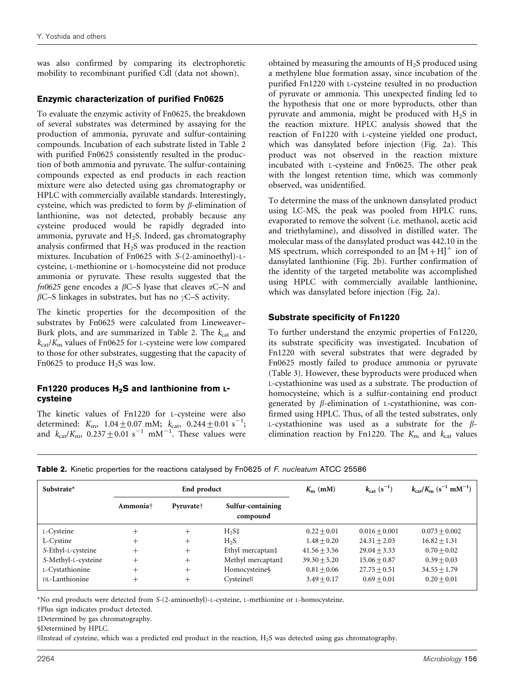was also confirmed by comparing its electrophoretic mobility to recombinant purified Cdl (data not shown).

## Enzymic characterization of purified Fn0625

To evaluate the enzymic activity of Fn0625, the breakdown of several substrates was determined by assaying for the production of ammonia, pyruvate and sulfur-containing compounds. Incubation of each substrate listed in Table 2 with purified Fn0625 consistently resulted in the production of both ammonia and pyruvate. The sulfur-containing compounds expected as end products in each reaction mixture were also detected using gas chromatography or HPLC with commercially available standards. Interestingly, cysteine, which was predicted to form by  $\beta$ -elimination of lanthionine, was not detected, probably because any cysteine produced would be rapidly degraded into ammonia, pyruvate and  $H_2S$ . Indeed, gas chromatography analysis confirmed that  $H_2S$  was produced in the reaction mixtures. Incubation of Fn0625 with S-(2-aminoethyl)-Lcysteine, L-methionine or L-homocysteine did not produce ammonia or pyruvate. These results suggested that the fn0625 gene encodes a  $\beta$ C–S lyase that cleaves  $\alpha$ C–N and  $\beta$ C–S linkages in substrates, but has no  $\gamma$ C–S activity.

The kinetic properties for the decomposition of the substrates by Fn0625 were calculated from Lineweaver– Burk plots, and are summarized in Table 2. The  $k_{\text{cat}}$  and  $k_{cat}/K_m$  values of Fn0625 for L-cysteine were low compared to those for other substrates, suggesting that the capacity of Fn0625 to produce  $H_2S$  was low.

### Fn1220 produces  $H_2S$  and lanthionine from  $L$ cysteine

The kinetic values of Fn1220 for L-cysteine were also determined:  $K_{\text{m}}$ ,  $1.04 \pm 0.07$  mM;  $k_{\text{cat}}$ ,  $0.244 \pm 0.01$  s<sup>-1</sup>; and  $k_{\text{cat}}/K_{\text{m}}$ ,  $0.237 \pm 0.01 \text{ s}^{-1} \text{ mM}^{-1}$ . These values were

obtained by measuring the amounts of  $H<sub>2</sub>S$  produced using a methylene blue formation assay, since incubation of the purified Fn1220 with L-cysteine resulted in no production of pyruvate or ammonia. This unexpected finding led to the hypothesis that one or more byproducts, other than pyruvate and ammonia, might be produced with  $H<sub>2</sub>S$  in the reaction mixture. HPLC analysis showed that the reaction of Fn1220 with L-cysteine yielded one product, which was dansylated before injection (Fig. 2a). This product was not observed in the reaction mixture incubated with L-cysteine and Fn0625. The other peak with the longest retention time, which was commonly observed, was unidentified.

To determine the mass of the unknown dansylated product using LC-MS, the peak was pooled from HPLC runs, evaporated to remove the solvent (i.e. methanol, acetic acid and triethylamine), and dissolved in distilled water. The molecular mass of the dansylated product was 442.10 in the MS spectrum, which corresponded to an  $[M+H]^{+}$  ion of dansylated lanthionine (Fig. 2b). Further confirmation of the identity of the targeted metabolite was accomplished using HPLC with commercially available lanthionine, which was dansylated before injection (Fig. 2a).

## Substrate specificity of Fn1220

To further understand the enzymic properties of Fn1220, its substrate specificity was investigated. Incubation of Fn1220 with several substrates that were degraded by Fn0625 mostly failed to produce ammonia or pyruvate (Table 3). However, these byproducts were produced when L-cystathionine was used as a substrate. The production of homocysteine, which is a sulfur-containing end product generated by  $\beta$ -elimination of L-cystathionine, was confirmed using HPLC. Thus, of all the tested substrates, only L-cystathionine was used as a substrate for the  $\beta$ elimination reaction by Fn1220. The  $K<sub>m</sub>$  and  $k<sub>cat</sub>$  values

|  |  | Table 2. Kinetic properties for the reactions catalysed by Fn0625 of F. nucleatum ATCC 25586 |  |
|--|--|----------------------------------------------------------------------------------------------|--|
|  |  |                                                                                              |  |

| Substrate*          | End product          |                       | $K_{\rm m}$ (mM)              | $k_{\text{cat}} (s^{-1})$ | $k_{\text{cat}}/K_{\text{m}}$ (s <sup>-1</sup> mM <sup>-1</sup> ) |                 |
|---------------------|----------------------|-----------------------|-------------------------------|---------------------------|-------------------------------------------------------------------|-----------------|
|                     | Ammonia <sup>†</sup> | Pyruvate <sup>+</sup> | Sulfur-containing<br>compound |                           |                                                                   |                 |
| L-Cysteine          | $^{+}$               | $^{+}$                | $H_2S\ddagger$                | $0.22 + 0.01$             | $0.016 + 0.001$                                                   | $0.073 + 0.002$ |
| L-Cystine           | $^+$                 | $^+$                  | H <sub>2</sub> S              | $1.48 + 0.20$             | $24.31 + 2.03$                                                    | $16.82 + 1.31$  |
| S-Ethyl-L-cysteine  | $^{+}$               | $^{+}$                | Ethyl mercaptan‡              | $41.56 + 3.56$            | $29.04 + 3.33$                                                    | $0.70 + 0.02$   |
| S-Methyl-L-cysteine | $^+$                 | $^+$                  | Methyl mercaptan‡             | $39.30 + 5.20$            | $15.06 + 0.87$                                                    | $0.39 + 0.03$   |
| L-Cystathionine     | $^+$                 | $^{+}$                | Homocysteine§                 | $0.81 + 0.06$             | $27.75 + 0.51$                                                    | $34.55 + 1.79$  |
| DL-Lanthionine      | $^+$                 | $^+$                  | Cysteinell                    | $3.49 + 0.17$             | $0.69 + 0.01$                                                     | $0.20 + 0.01$   |

\*No end products were detected from S-(2-aminoethyl)-L-cysteine, L-methionine or L-homocysteine.

†Plus sign indicates product detected.

‡Determined by gas chromatography.

§Determined by HPLC.

||Instead of cysteine, which was a predicted end product in the reaction, H2S was detected using gas chromatography.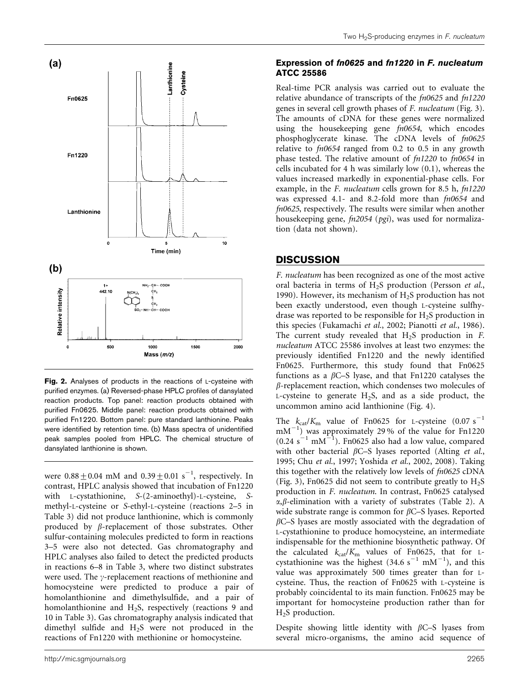

Fig. 2. Analyses of products in the reactions of L-cysteine with purified enzymes. (a) Reversed-phase HPLC profiles of dansylated reaction products. Top panel: reaction products obtained with purified Fn0625. Middle panel: reaction products obtained with purified Fn1220. Bottom panel: pure standard lanthionine. Peaks were identified by retention time. (b) Mass spectra of unidentified peak samples pooled from HPLC. The chemical structure of dansylated lanthionine is shown.

were  $0.88 \pm 0.04$  mM and  $0.39 \pm 0.01$  s<sup>-1</sup>, respectively. In contrast, HPLC analysis showed that incubation of Fn1220 with L-cystathionine, S-(2-aminoethyl)-L-cysteine, Smethyl-L-cysteine or S-ethyl-L-cysteine (reactions 2–5 in Table 3) did not produce lanthionine, which is commonly produced by  $\beta$ -replacement of those substrates. Other sulfur-containing molecules predicted to form in reactions 3–5 were also not detected. Gas chromatography and HPLC analyses also failed to detect the predicted products in reactions 6–8 in Table 3, where two distinct substrates were used. The  $\gamma$ -replacement reactions of methionine and homocysteine were predicted to produce a pair of homolanthionine and dimethylsulfide, and a pair of homolanthionine and H<sub>2</sub>S, respectively (reactions 9 and 10 in Table 3). Gas chromatography analysis indicated that dimethyl sulfide and H2S were not produced in the reactions of Fn1220 with methionine or homocysteine.

#### Expression of fn0625 and fn1220 in F. nucleatum ATCC 25586

Real-time PCR analysis was carried out to evaluate the relative abundance of transcripts of the fn0625 and fn1220 genes in several cell growth phases of F. nucleatum (Fig. 3). The amounts of cDNA for these genes were normalized using the housekeeping gene  $fn0654$ , which encodes phosphoglycerate kinase. The cDNA levels of  $fn0625$ relative to  $fn0654$  ranged from 0.2 to 0.5 in any growth phase tested. The relative amount of fn1220 to fn0654 in cells incubated for 4 h was similarly low (0.1), whereas the values increased markedly in exponential-phase cells. For example, in the F. nucleatum cells grown for 8.5 h, fn1220 was expressed 4.1- and 8.2-fold more than fn0654 and fn0625, respectively. The results were similar when another housekeeping gene, fn2054 (pgi), was used for normalization (data not shown).

# **DISCUSSION**

F. nucleatum has been recognized as one of the most active oral bacteria in terms of H<sub>2</sub>S production (Persson et al., 1990). However, its mechanism of  $H<sub>2</sub>S$  production has not been exactly understood, even though L-cysteine sulfhydrase was reported to be responsible for  $H<sub>2</sub>S$  production in this species (Fukamachi et al., 2002; Pianotti et al., 1986). The current study revealed that  $H<sub>2</sub>S$  production in  $F<sub>1</sub>$ . nucleatum ATCC 25586 involves at least two enzymes: the previously identified Fn1220 and the newly identified Fn0625. Furthermore, this study found that Fn0625 functions as a  $\beta$ C–S lyase, and that Fn1220 catalyses the  $\beta$ -replacement reaction, which condenses two molecules of L-cysteine to generate  $H_2S$ , and as a side product, the uncommon amino acid lanthionine (Fig. 4).

The  $k_{cat}/K_m$  value of Fn0625 for L-cysteine (0.07 s<sup>-1</sup>)  $mM^{-1}$ ) was approximately 29% of the value for Fn1220  $(0.24 \text{ s}^{-1} \text{ mM}^{-1})$ . Fn0625 also had a low value, compared with other bacterial  $\beta$ C–S lyases reported (Alting et al., 1995; Chu et al., 1997; Yoshida et al., 2002, 2008). Taking this together with the relatively low levels of  $fn0625$  cDNA (Fig. 3), Fn0625 did not seem to contribute greatly to  $H_2S$ production in F. nucleatum. In contrast, Fn0625 catalysed  $\alpha$ , $\beta$ -elimination with a variety of substrates (Table 2). A wide substrate range is common for  $\beta$ C–S lyases. Reported  $\beta$ C–S lyases are mostly associated with the degradation of L-cystathionine to produce homocysteine, an intermediate indispensable for the methionine biosynthetic pathway. Of the calculated  $k_{cat}/K_m$  values of Fn0625, that for Lcystathionine was the highest  $(34.6 s<sup>-1</sup> mM<sup>-1</sup>)$ , and this value was approximately 500 times greater than for Lcysteine. Thus, the reaction of Fn0625 with L-cysteine is probably coincidental to its main function. Fn0625 may be important for homocysteine production rather than for H<sub>2</sub>S production.

Despite showing little identity with  $\beta$ C–S lyases from several micro-organisms, the amino acid sequence of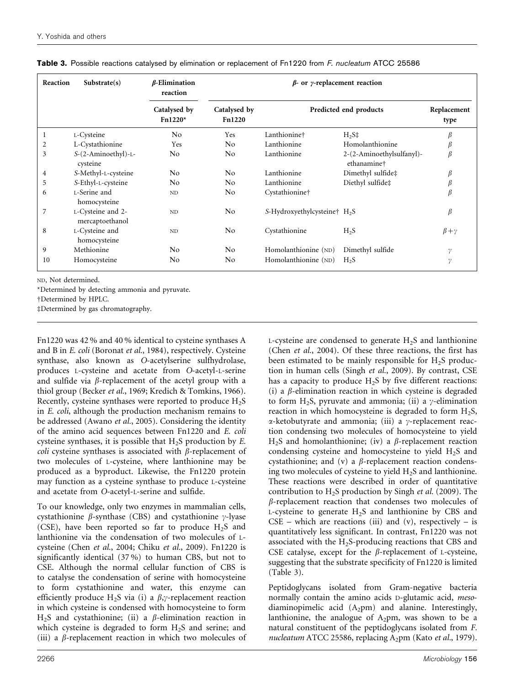| Reaction       | Substrate(s)                         | $\beta$ -Elimination<br>reaction | $\beta$ - or y-replacement reaction |                                          |                                          |                     |
|----------------|--------------------------------------|----------------------------------|-------------------------------------|------------------------------------------|------------------------------------------|---------------------|
|                |                                      | Catalysed by<br>$Fn1220*$        | Catalysed by<br><b>Fn1220</b>       | Predicted end products                   |                                          | Replacement<br>type |
| 1              | L-Cysteine                           | N <sub>o</sub>                   | Yes                                 | Lanthionine†                             | $H_2S\ddagger$                           |                     |
| 2              | L-Cystathionine                      | Yes                              | N <sub>o</sub>                      | Lanthionine                              | Homolanthionine                          | β                   |
| 3              | S-(2-Aminoethyl)-L-<br>cysteine      | N <sub>0</sub>                   | N <sub>o</sub>                      | Lanthionine                              | 2-(2-Aminoethylsulfanyl)-<br>ethanamine† | $\beta$             |
| $\overline{4}$ | S-Methyl-L-cysteine                  | No                               | N <sub>o</sub>                      | Lanthionine                              | Dimethyl sulfide‡                        | β                   |
| 5              | S-Ethyl-L-cysteine                   | No.                              | N <sub>0</sub>                      | Lanthionine                              | Diethyl sulfide‡                         |                     |
| 6              | L-Serine and<br>homocysteine         | N <sub>D</sub>                   | N <sub>0</sub>                      | Cystathionine <sup>+</sup>               |                                          | $\beta$             |
| 7              | L-Cysteine and 2-<br>mercaptoethanol | ND                               | N <sub>o</sub>                      | S-Hydroxyethylcysteine† H <sub>2</sub> S |                                          | $\beta$             |
| 8              | L-Cysteine and<br>homocysteine       | ND.                              | N <sub>0</sub>                      | Cystathionine                            | $H_2S$                                   | $\beta + \gamma$    |
| 9              | Methionine                           | N <sub>0</sub>                   | N <sub>o</sub>                      | Homolanthionine (ND)                     | Dimethyl sulfide                         | γ                   |
| 10             | Homocysteine                         | N <sub>0</sub>                   | No                                  | Homolanthionine (ND)                     | H <sub>2</sub> S                         | $\gamma$            |

Table 3. Possible reactions catalysed by elimination or replacement of Fn1220 from F. nucleatum ATCC 25586

ND, Not determined.

\*Determined by detecting ammonia and pyruvate.

†Determined by HPLC.

dDetermined by gas chromatography.

Fn1220 was 42 % and 40 % identical to cysteine synthases A and B in E. coli (Boronat et al., 1984), respectively. Cysteine synthase, also known as O-acetylserine sulfhydrolase, produces L-cysteine and acetate from O-acetyl-L-serine and sulfide via  $\beta$ -replacement of the acetyl group with a thiol group (Becker et al., 1969; Kredich & Tomkins, 1966). Recently, cysteine synthases were reported to produce  $H_2S$ in E. coli, although the production mechanism remains to be addressed (Awano et al., 2005). Considering the identity of the amino acid sequences between Fn1220 and E. coli cysteine synthases, it is possible that H2S production by E. coli cysteine synthases is associated with  $\beta$ -replacement of two molecules of L-cysteine, where lanthionine may be produced as a byproduct. Likewise, the Fn1220 protein may function as a cysteine synthase to produce L-cysteine and acetate from O-acetyl-L-serine and sulfide.

To our knowledge, only two enzymes in mammalian cells, cystathionine  $\beta$ -synthase (CBS) and cystathionine  $\gamma$ -lyase (CSE), have been reported so far to produce  $H_2S$  and lanthionine via the condensation of two molecules of Lcysteine (Chen et al., 2004; Chiku et al., 2009). Fn1220 is significantly identical (37 %) to human CBS, but not to CSE. Although the normal cellular function of CBS is to catalyse the condensation of serine with homocysteine to form cystathionine and water, this enzyme can efficiently produce H<sub>2</sub>S via (i) a  $\beta$ , $\gamma$ -replacement reaction in which cysteine is condensed with homocysteine to form  $H_2S$  and cystathionine; (ii) a  $\beta$ -elimination reaction in which cysteine is degraded to form  $H_2S$  and serine; and (iii) a  $\beta$ -replacement reaction in which two molecules of L-cysteine are condensed to generate  $H_2S$  and lanthionine (Chen et al., 2004). Of these three reactions, the first has been estimated to be mainly responsible for  $H<sub>2</sub>S$  production in human cells (Singh et al., 2009). By contrast, CSE has a capacity to produce  $H_2S$  by five different reactions: (i) a  $\beta$ -elimination reaction in which cysteine is degraded to form H<sub>2</sub>S, pyruvate and ammonia; (ii) a  $\gamma$ -elimination reaction in which homocysteine is degraded to form  $H_2S$ ,  $\alpha$ -ketobutyrate and ammonia; (iii) a  $\gamma$ -replacement reaction condensing two molecules of homocysteine to yield H<sub>2</sub>S and homolanthionine; (iv) a  $\beta$ -replacement reaction condensing cysteine and homocysteine to yield H2S and cystathionine; and (v) a  $\beta$ -replacement reaction condensing two molecules of cysteine to yield H2S and lanthionine. These reactions were described in order of quantitative contribution to  $H_2S$  production by Singh *et al.* (2009). The  $\beta$ -replacement reaction that condenses two molecules of L-cysteine to generate  $H_2S$  and lanthionine by CBS and  $CSE$  – which are reactions (iii) and (v), respectively – is quantitatively less significant. In contrast, Fn1220 was not associated with the  $H_2$ S-producing reactions that CBS and CSE catalyse, except for the  $\beta$ -replacement of L-cysteine, suggesting that the substrate specificity of Fn1220 is limited (Table 3).

Peptidoglycans isolated from Gram-negative bacteria normally contain the amino acids D-glutamic acid, mesodiaminopimelic acid  $(A_2pm)$  and alanine. Interestingly, lanthionine, the analogue of  $A_2$ pm, was shown to be a natural constituent of the peptidoglycans isolated from F. nucleatum ATCC 25586, replacing  $A_2$ pm (Kato et al., 1979).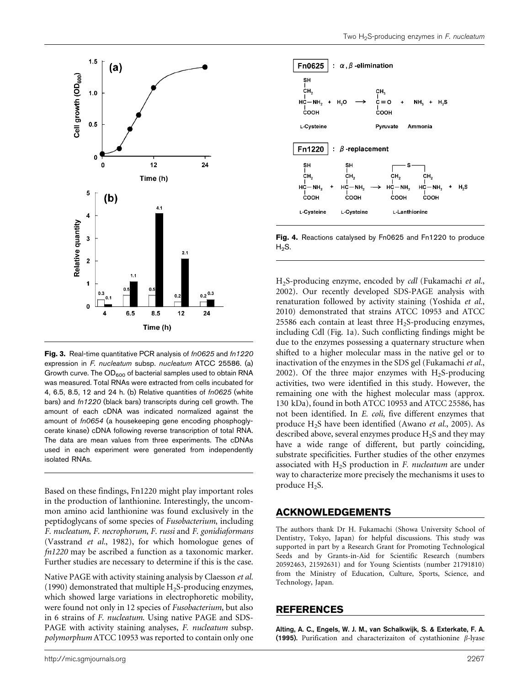



Fig. 3. Real-time quantitative PCR analysis of  $fn0625$  and  $fn1220$ expression in F. nucleatum subsp. nucleatum ATCC 25586. (a) Growth curve. The OD<sub>600</sub> of bacterial samples used to obtain RNA was measured. Total RNAs were extracted from cells incubated for 4, 6.5, 8.5, 12 and 24 h. (b) Relative quantities of fn0625 (white bars) and fn1220 (black bars) transcripts during cell growth. The amount of each cDNA was indicated normalized against the amount of fn0654 (a housekeeping gene encoding phosphoglycerate kinase) cDNA following reverse transcription of total RNA. The data are mean values from three experiments. The cDNAs used in each experiment were generated from independently isolated RNAs.

Based on these findings, Fn1220 might play important roles in the production of lanthionine. Interestingly, the uncommon amino acid lanthionine was found exclusively in the peptidoglycans of some species of Fusobacterium, including F. nucleatum, F. necrophorum, F. russi and F. gonidiaformans (Vasstrand et al., 1982), for which homologue genes of fn1220 may be ascribed a function as a taxonomic marker. Further studies are necessary to determine if this is the case.

Native PAGE with activity staining analysis by Claesson et al. (1990) demonstrated that multiple  $H_2S$ -producing enzymes, which showed large variations in electrophoretic mobility, were found not only in 12 species of Fusobacterium, but also in 6 strains of F. nucleatum. Using native PAGE and SDS-PAGE with activity staining analyses, F. nucleatum subsp. polymorphum ATCC 10953 was reported to contain only one



Fig. 4. Reactions catalysed by Fn0625 and Fn1220 to produce  $H<sub>2</sub>S$ .

H2S-producing enzyme, encoded by cdl (Fukamachi et al., 2002). Our recently developed SDS-PAGE analysis with renaturation followed by activity staining (Yoshida et al., 2010) demonstrated that strains ATCC 10953 and ATCC 25586 each contain at least three  $H_2S$ -producing enzymes, including Cdl (Fig. 1a). Such conflicting findings might be due to the enzymes possessing a quaternary structure when shifted to a higher molecular mass in the native gel or to inactivation of the enzymes in the SDS gel (Fukamachi et al., 2002). Of the three major enzymes with  $H_2S$ -producing activities, two were identified in this study. However, the remaining one with the highest molecular mass (approx. 130 kDa), found in both ATCC 10953 and ATCC 25586, has not been identified. In E. coli, five different enzymes that produce H2S have been identified (Awano et al., 2005). As described above, several enzymes produce  $H_2S$  and they may have a wide range of different, but partly coinciding, substrate specificities. Further studies of the other enzymes associated with  $H_2S$  production in F. nucleatum are under way to characterize more precisely the mechanisms it uses to produce  $H_2S$ .

#### ACKNOWLEDGEMENTS

The authors thank Dr H. Fukamachi (Showa University School of Dentistry, Tokyo, Japan) for helpful discussions. This study was supported in part by a Research Grant for Promoting Technological Seeds and by Grants-in-Aid for Scientific Research (numbers 20592463, 21592631) and for Young Scientists (number 21791810) from the Ministry of Education, Culture, Sports, Science, and Technology, Japan.

#### REFERENCES

Alting, A. C., Engels, W. J. M., van Schalkwijk, S. & Exterkate, F. A. (1995). Purification and characterizaiton of cystathionine  $\beta$ -lyase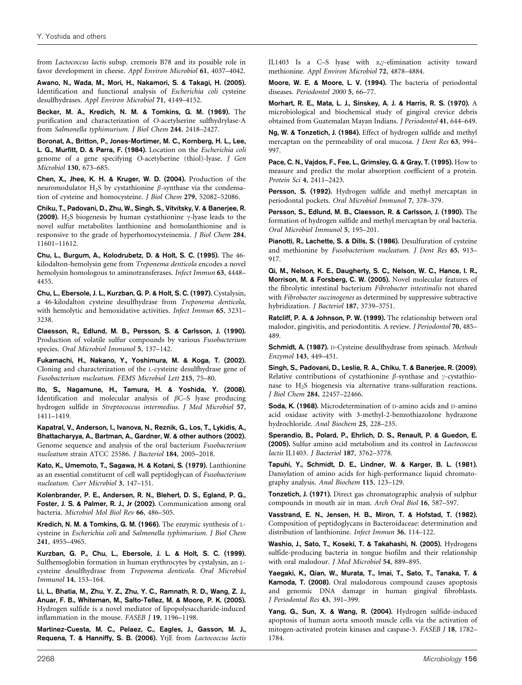from Lactococcus lactis subsp. cremoris B78 and its possible role in favor development in cheese. Appl Environ Microbiol 61, 4037–4042.

Awano, N., Wada, M., Mori, H., Nakamori, S. & Takagi, H. (2005). Identification and functional analysis of Escherichia coli cysteine desulfhydrases. Appl Environ Microbiol 71, 4149–4152.

Becker, M. A., Kredich, N. M. & Tomkins, G. M. (1969). The purification and characterization of O-acetylserine sulfhydrylase-A from Salmonella typhimurium. J Biol Chem 244, 2418–2427.

Boronat, A., Britton, P., Jones-Mortimer, M. C., Kornberg, H. L., Lee, L. G., Murfitt, D. & Parra, F. (1984). Location on the Escherichia coli genome of a gene specifying O-acetylserine (thiol)-lyase. J Gen Microbiol 130, 673–685.

Chen, X., Jhee, K. H. & Kruger, W. D. (2004). Production of the neuromodulator H<sub>2</sub>S by cystathionine  $\beta$ -synthase via the condensation of cysteine and homocysteine. J Biol Chem 279, 52082–52086.

Chiku, T., Padovani, D., Zhu, W., Singh, S., Vitvitsky, V. & Banerjee, R. (2009). H<sub>2</sub>S biogenesis by human cystathionine  $\gamma$ -lyase leads to the novel sulfur metabolites lanthionine and homolanthionine and is responsive to the grade of hyperhomocysteinemia. J Biol Chem 284, 11601–11612.

Chu, L., Burgum, A., Kolodrubetz, D. & Holt, S. C. (1995). The 46 kilodalton-hemolysin gene from Treponema denticola encodes a novel hemolysin homologous to aminotransferases. Infect Immun 63, 4448– 4455.

Chu, L., Ebersole, J. L., Kurzban, G. P. & Holt, S. C. (1997). Cystalysin, a 46-kilodalton cysteine desulfhydrase from Treponema denticola, with hemolytic and hemoxidative activities. Infect Immun 65, 3231– 3238.

Claesson, R., Edlund, M. B., Persson, S. & Carlsson, J. (1990). Production of volatile sulfur compounds by various Fusobacterium species. Oral Microbiol Immunol 5, 137–142.

Fukamachi, H., Nakano, Y., Yoshimura, M. & Koga, T. (2002). Cloning and characterization of the L-cysteine desulfhydrase gene of Fusobacterium nucleatum. FEMS Microbiol Lett 215, 75–80.

Ito, S., Nagamune, H., Tamura, H. & Yoshida, Y. (2008). Identification and molecular analysis of  $\beta$ C–S lyase producing hydrogen sulfide in Streptococcus intermedius. J Med Microbiol 57, 1411–1419.

Kapatral, V., Anderson, I., Ivanova, N., Reznik, G., Los, T., Lykidis, A., Bhattacharyya, A., Bartman, A., Gardner, W. & other authors (2002). Genome sequence and analysis of the oral bacterium Fusobacterium nucleatum strain ATCC 25586. J Bacteriol 184, 2005–2018.

Kato, K., Umemoto, T., Sagawa, H. & Kotani, S. (1979). Lanthionine as an essential constituent of cell wall peptidoglycan of Fusobacterium nucleatum. Curr Microbiol 3, 147–151.

Kolenbrander, P. E., Andersen, R. N., Blehert, D. S., Egland, P. G., Foster, J. S. & Palmer, R. J., Jr (2002). Communication among oral bacteria. Microbiol Mol Biol Rev 66, 486–505.

Kredich, N. M. & Tomkins, G. M. (1966). The enzymic synthesis of Lcysteine in Escherichia coli and Salmonella typhimurium. J Biol Chem 241, 4955–4965.

Kurzban, G. P., Chu, L., Ebersole, J. L. & Holt, S. C. (1999). Sulfhemoglobin formation in human erythrocytes by cystalysin, an Lcysteine desulfhydrase from Treponema denticola. Oral Microbiol Immunol 14, 153–164.

Li, L., Bhatia, M., Zhu, Y. Z., Zhu, Y. C., Ramnath, R. D., Wang, Z. J., Anuar, F. B., Whiteman, M., Salto-Tellez, M. & Moore, P. K. (2005). Hydrogen sulfide is a novel mediator of lipopolysaccharide-induced inflammation in the mouse. FASEB J 19, 1196–1198.

Martinez-Cuesta, M. C., Pelaez, C., Eagles, J., Gasson, M. J., Requena, T. & Hanniffy, S. B. (2006). YtjE from Lactococcus lactis IL1403 Is a C-S lyase with  $\alpha, \gamma$ -elimination activity toward methionine. Appl Environ Microbiol 72, 4878–4884.

Moore, W. E. & Moore, L. V. (1994). The bacteria of periodontal diseases. Periodontol 2000 5, 66–77.

Morhart, R. E., Mata, L. J., Sinskey, A. J. & Harris, R. S. (1970). A microbiological and biochemical study of gingival crevice debris obtained from Guatemalan Mayan Indians. J Periodontol 41, 644–649.

Ng, W. & Tonzetich, J. (1984). Effect of hydrogen sulfide and methyl mercaptan on the permeability of oral mucosa. *I Dent Res* 63, 994– 997.

Pace, C. N., Vajdos, F., Fee, L., Grimsley, G. & Gray, T. (1995). How to measure and predict the molar absorption coefficient of a protein. Protein Sci 4, 2411–2423.

Persson, S. (1992). Hydrogen sulfide and methyl mercaptan in periodontal pockets. Oral Microbiol Immunol 7, 378–379.

Persson, S., Edlund, M. B., Claesson, R. & Carlsson, J. (1990). The formation of hydrogen sulfide and methyl mercaptan by oral bacteria. Oral Microbiol Immunol 5, 195–201.

Pianotti, R., Lachette, S. & Dills, S. (1986). Desulfuration of cysteine and methionine by Fusobacterium nucleatum. J Dent Res 65, 913– 917.

Qi, M., Nelson, K. E., Daugherty, S. C., Nelson, W. C., Hance, I. R., Morrison, M. & Forsberg, C. W. (2005). Novel molecular features of the fibrolytic intestinal bacterium Fibrobacter intestinalis not shared with Fibrobacter succinogenes as determined by suppressive subtractive hybridization. J Bacteriol 187, 3739–3751.

Ratcliff, P. A. & Johnson, P. W. (1999). The relationship between oral malodor, gingivitis, and periodontitis. A review. J Periodontol 70, 485– 489.

Schmidt, A. (1987). D-Cysteine desulfhydrase from spinach. Methods Enzymol 143, 449–451.

Singh, S., Padovani, D., Leslie, R. A., Chiku, T. & Banerjee, R. (2009). Relative contributions of cystathionine  $\beta$ -synthase and  $\gamma$ -cystathionase to H2S biogenesis via alternative trans-sulfuration reactions. J Biol Chem 284, 22457–22466.

Soda, K. (1968). Microdetermination of D-amino acids and D-amino acid oxidase activity with 3-methyl-2-benzothiazolone hydrazone hydrochloride. Anal Biochem 25, 228–235.

Sperandio, B., Polard, P., Ehrlich, D. S., Renault, P. & Guedon, E. (2005). Sulfur amino acid metabolism and its control in Lactococcus lactis IL1403. J Bacteriol 187, 3762–3778.

Tapuhi, Y., Schmidt, D. E., Lindner, W. & Karger, B. L. (1981). Dansylation of amino acids for high-performance liquid chromatography analysis. Anal Biochem 115, 123–129.

Tonzetich, J. (1971). Direct gas chromatographic analysis of sulphur compounds in mouth air in man. Arch Oral Biol 16, 587–597.

Vasstrand, E. N., Jensen, H. B., Miron, T. & Hofstad, T. (1982). Composition of peptidoglycans in Bacteroidaceae: determination and distribution of lanthionine. Infect Immun 36, 114–122.

Washio, J., Sato, T., Koseki, T. & Takahashi, N. (2005). Hydrogens sulfide-producing bacteria in tongue biofilm and their relationship with oral malodour. J Med Microbiol 54, 889–895.

Yaegaki, K., Qian, W., Murata, T., Imai, T., Sato, T., Tanaka, T. & Kamoda, T. (2008). Oral malodorous compound causes apoptosis and genomic DNA damage in human gingival fibroblasts. J Periodontal Res 43, 391–399.

Yang, G., Sun, X. & Wang, R. (2004). Hydrogen sulfide-induced apoptosis of human aorta smooth muscle cells via the activation of mitogen-activated protein kinases and caspase-3. FASEB J 18, 1782– 1784.